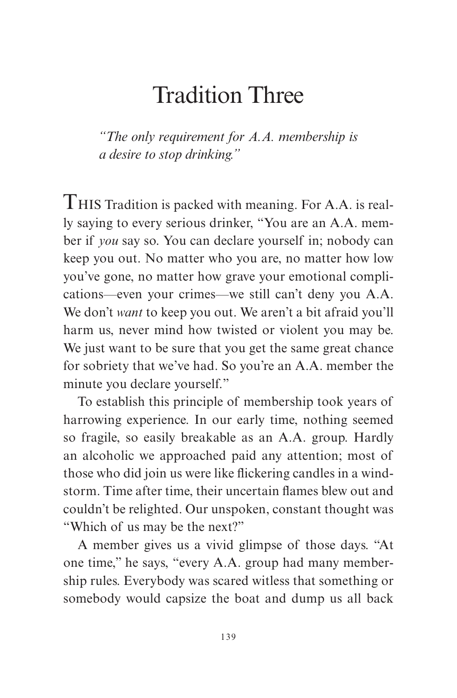## Tradition Three

*"The only requirement for A.A. membership is a desire to stop drinking."*

THIS Tradition is packed with meaning. For A.A. is really saying to every serious drinker, "You are an A.A. member if *you* say so. You can declare yourself in; nobody can keep you out. No matter who you are, no matter how low you've gone, no matter how grave your emotional complications—even your crimes—we still can't deny you A.A. We don't *want* to keep you out. We aren't a bit afraid you'll harm us, never mind how twisted or violent you may be. We just want to be sure that you get the same great chance for sobriety that we've had. So you're an A.A. member the minute you declare yourself."

To establish this principle of membership took years of harrowing experience. In our early time, nothing seemed so fragile, so easily breakable as an A.A. group. Hardly an alcoholic we approached paid any attention; most of those who did join us were like flickering candles in a windstorm. Time after time, their uncertain flames blew out and couldn't be relighted. Our unspoken, constant thought was "Which of us may be the next?"

A member gives us a vivid glimpse of those days. "At one time," he says, "every A.A. group had many membership rules. Everybody was scared witless that something or somebody would capsize the boat and dump us all back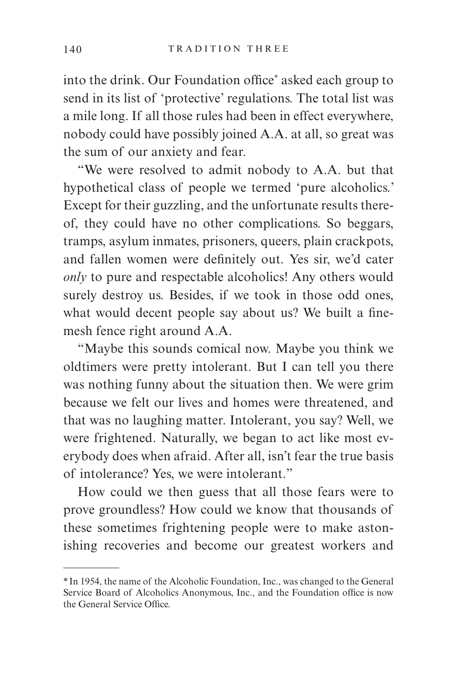into the drink. Our Foundation office<sup>\*</sup> asked each group to send in its list of 'protective' regulations. The total list was a mile long. If all those rules had been in effect everywhere, nobody could have possibly joined A.A. at all, so great was the sum of our anxiety and fear.

"We were resolved to admit nobody to A.A. but that hypothetical class of people we termed 'pure alcoholics.' Except for their guzzling, and the unfortunate results thereof, they could have no other complications. So beggars, tramps, asylum inmates, prisoners, queers, plain crackpots, and fallen women were definitely out. Yes sir, we'd cater *only* to pure and respectable alcoholics! Any others would surely destroy us. Besides, if we took in those odd ones, what would decent people say about us? We built a finemesh fence right around A.A.

"Maybe this sounds comical now. Maybe you think we oldtimers were pretty intolerant. But I can tell you there was nothing funny about the situation then. We were grim because we felt our lives and homes were threatened, and that was no laughing matter. Intolerant, you say? Well, we were frightened. Naturally, we began to act like most everybody does when afraid. After all, isn't fear the true basis of intolerance? Yes, we were intolerant."

How could we then guess that all those fears were to prove groundless? How could we know that thousands of these sometimes frightening people were to make astonishing recoveries and become our greatest workers and

<sup>\*</sup> In 1954, the name of the Alcoholic Foundation, Inc., was changed to the General Service Board of Alcoholics Anonymous, Inc., and the Foundation office is now the General Service Office.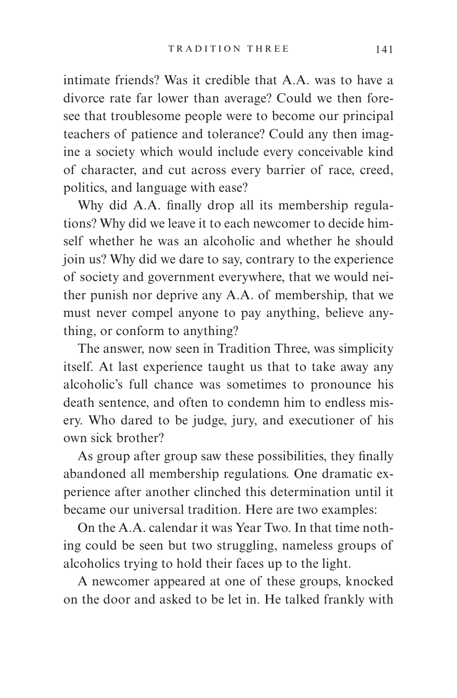intimate friends? Was it credible that A.A. was to have a divorce rate far lower than average? Could we then foresee that troublesome people were to become our principal teachers of patience and tolerance? Could any then imagine a society which would include every conceivable kind of character, and cut across every barrier of race, creed, politics, and language with ease?

Why did A.A. finally drop all its membership regulations? Why did we leave it to each newcomer to decide himself whether he was an alcoholic and whether he should join us? Why did we dare to say, contrary to the experience of society and government everywhere, that we would neither punish nor deprive any A.A. of membership, that we must never compel anyone to pay anything, believe anything, or conform to anything?

The answer, now seen in Tradition Three, was simplicity itself. At last experience taught us that to take away any alcoholic's full chance was sometimes to pronounce his death sentence, and often to condemn him to endless misery. Who dared to be judge, jury, and executioner of his own sick brother?

As group after group saw these possibilities, they finally abandoned all membership regulations. One dramatic experience after another clinched this determination until it became our universal tradition. Here are two examples:

On the A.A. calendar it was Year Two. In that time nothing could be seen but two struggling, nameless groups of alcoholics trying to hold their faces up to the light.

A newcomer appeared at one of these groups, knocked on the door and asked to be let in. He talked frankly with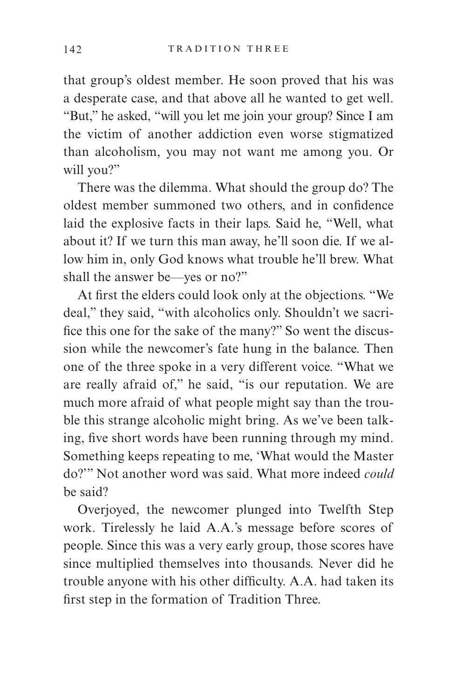that group's oldest member. He soon proved that his was a desperate case, and that above all he wanted to get well. "But," he asked, "will you let me join your group? Since I am the victim of another addiction even worse stigmatized than alcoholism, you may not want me among you. Or will you?"

There was the dilemma. What should the group do? The oldest member summoned two others, and in confidence laid the explosive facts in their laps. Said he, "Well, what about it? If we turn this man away, he'll soon die. If we allow him in, only God knows what trouble he'll brew. What shall the answer be—yes or no?"

At first the elders could look only at the objections. "We deal," they said, "with alcoholics only. Shouldn't we sacrifice this one for the sake of the many?" So went the discussion while the newcomer's fate hung in the balance. Then one of the three spoke in a very different voice. "What we are really afraid of," he said, "is our reputation. We are much more afraid of what people might say than the trouble this strange alcoholic might bring. As we've been talking, five short words have been running through my mind. Something keeps repeating to me, 'What would the Master do?'" Not another word was said. What more indeed *could* be said?

Overjoyed, the newcomer plunged into Twelfth Step work. Tirelessly he laid A.A.'s message before scores of people. Since this was a very early group, those scores have since multiplied themselves into thousands. Never did he trouble anyone with his other difficulty. A.A. had taken its first step in the formation of Tradition Three.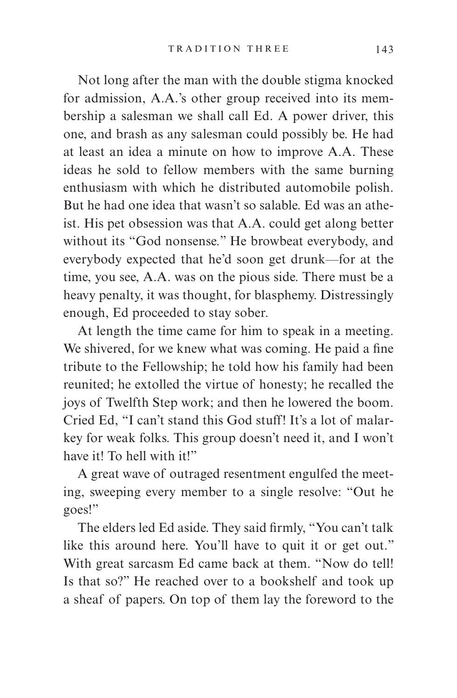Not long after the man with the double stigma knocked for admission, A.A.'s other group received into its membership a salesman we shall call Ed. A power driver, this one, and brash as any salesman could possibly be. He had at least an idea a minute on how to improve A.A. These ideas he sold to fellow members with the same burning enthusiasm with which he distributed automobile polish. But he had one idea that wasn't so salable. Ed was an atheist. His pet obsession was that A.A. could get along better without its "God nonsense." He browbeat everybody, and everybody expected that he'd soon get drunk—for at the time, you see, A.A. was on the pious side. There must be a heavy penalty, it was thought, for blasphemy. Distressingly enough, Ed proceeded to stay sober.

At length the time came for him to speak in a meeting. We shivered, for we knew what was coming. He paid a fine tribute to the Fellowship; he told how his family had been reunited; he extolled the virtue of honesty; he recalled the joys of Twelfth Step work; and then he lowered the boom. Cried Ed, "I can't stand this God stuff! It's a lot of malarkey for weak folks. This group doesn't need it, and I won't have it! To hell with it!"

A great wave of outraged resentment engulfed the meeting, sweeping every member to a single resolve: "Out he goes!"

The elders led Ed aside. They said firmly, "You can't talk like this around here. You'll have to quit it or get out." With great sarcasm Ed came back at them. "Now do tell! Is that so?" He reached over to a bookshelf and took up a sheaf of papers. On top of them lay the foreword to the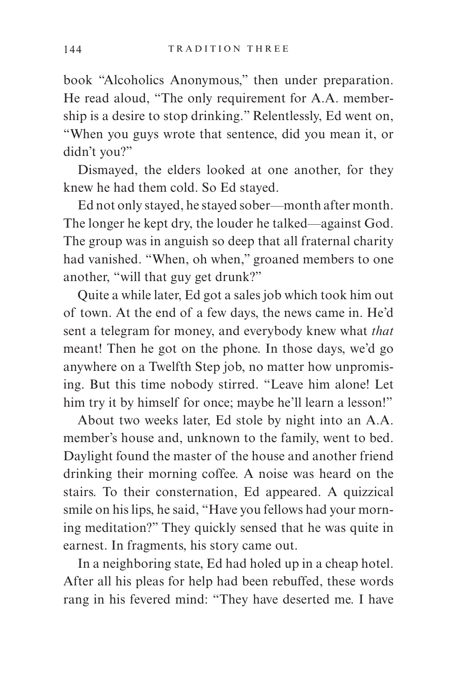book "Alcoholics Anonymous," then under preparation. He read aloud, "The only requirement for A.A. membership is a desire to stop drinking." Relentlessly, Ed went on, "When you guys wrote that sentence, did you mean it, or didn't you?"

Dismayed, the elders looked at one another, for they knew he had them cold. So Ed stayed.

Ed not only stayed, he stayed sober—month after month. The longer he kept dry, the louder he talked—against God. The group was in anguish so deep that all fraternal charity had vanished. "When, oh when," groaned members to one another, "will that guy get drunk?"

Quite a while later, Ed got a sales job which took him out of town. At the end of a few days, the news came in. He'd sent a telegram for money, and everybody knew what *that* meant! Then he got on the phone. In those days, we'd go anywhere on a Twelfth Step job, no matter how unpromising. But this time nobody stirred. "Leave him alone! Let him try it by himself for once; maybe he'll learn a lesson!"

About two weeks later, Ed stole by night into an A.A. member's house and, unknown to the family, went to bed. Daylight found the master of the house and another friend drinking their morning coffee. A noise was heard on the stairs. To their consternation, Ed appeared. A quizzical smile on his lips, he said, "Have you fellows had your morning meditation?" They quickly sensed that he was quite in earnest. In fragments, his story came out.

In a neighboring state, Ed had holed up in a cheap hotel. After all his pleas for help had been rebuffed, these words rang in his fevered mind: "They have deserted me. I have